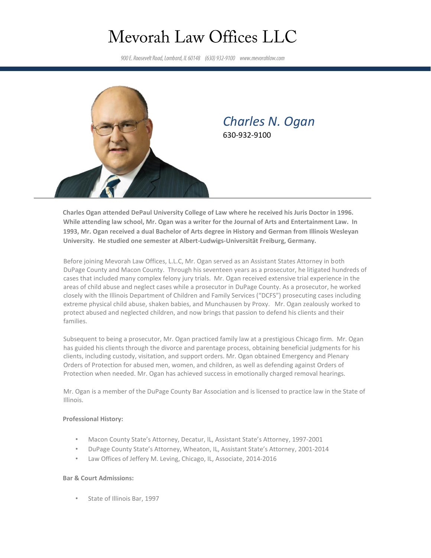# Mevorah Law Offices LLC

900 E. Roosevelt Road, Lombard, IL 60148 (630) 932-9100 www.mevorahlaw.com



# *Charles N. Ogan* 630-932-9100

**Charles Ogan attended DePaul University College of Law where he received his Juris Doctor in 1996. While attending law school, Mr. Ogan was a writer for the Journal of Arts and Entertainment Law. In 1993, Mr. Ogan received a dual Bachelor of Arts degree in History and German from Illinois Wesleyan University. He studied one semester at Albert-Ludwigs-Universität Freiburg, Germany.**

Before joining Mevorah Law Offices, L.L.C, Mr. Ogan served as an Assistant States Attorney in both DuPage County and Macon County. Through his seventeen years as a prosecutor, he litigated hundreds of cases that included many complex felony jury trials. Mr. Ogan received extensive trial experience in the areas of child abuse and neglect cases while a prosecutor in DuPage County. As a prosecutor, he worked closely with the Illinois Department of Children and Family Services ("DCFS") prosecuting cases including extreme physical child abuse, shaken babies, and Munchausen by Proxy. Mr. Ogan zealously worked to protect abused and neglected children, and now brings that passion to defend his clients and their families.

Subsequent to being a prosecutor, Mr. Ogan practiced family law at a prestigious Chicago firm. Mr. Ogan has guided his clients through the divorce and parentage process, obtaining beneficial judgments for his clients, including custody, visitation, and support orders. Mr. Ogan obtained Emergency and Plenary Orders of Protection for abused men, women, and children, as well as defending against Orders of Protection when needed. Mr. Ogan has achieved success in emotionally charged removal hearings.

Mr. Ogan is a member of the DuPage County Bar Association and is licensed to practice law in the State of Illinois.

### **Professional History:**

- Macon County State's Attorney, Decatur, IL, Assistant State's Attorney, 1997-2001
- DuPage County State's Attorney, Wheaton, IL, Assistant State's Attorney, 2001-2014
- Law Offices of Jeffery M. Leving, Chicago, IL, Associate, 2014-2016

## **Bar & Court Admissions:**

• State of Illinois Bar, 1997